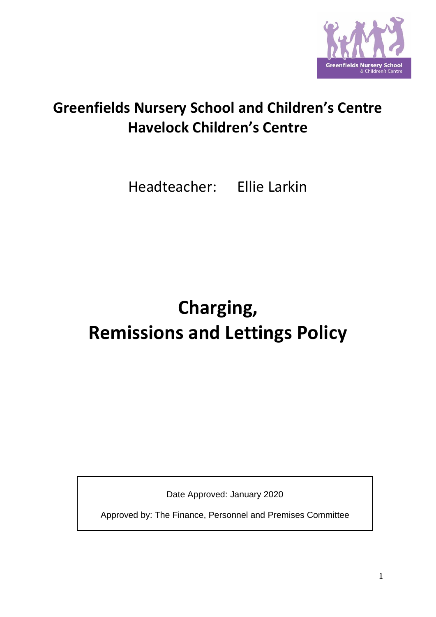

## **Greenfields Nursery School and Children's Centre Havelock Children's Centre**

Headteacher: Ellie Larkin

# **Charging, Remissions and Lettings Policy**

Date Approved: January 2020

Approved by: The Finance, Personnel and Premises Committee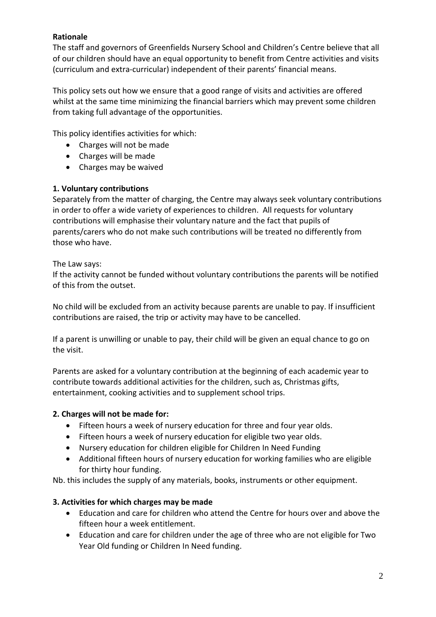## **Rationale**

The staff and governors of Greenfields Nursery School and Children's Centre believe that all of our children should have an equal opportunity to benefit from Centre activities and visits (curriculum and extra-curricular) independent of their parents' financial means.

This policy sets out how we ensure that a good range of visits and activities are offered whilst at the same time minimizing the financial barriers which may prevent some children from taking full advantage of the opportunities.

This policy identifies activities for which:

- Charges will not be made
- Charges will be made
- Charges may be waived

## **1. Voluntary contributions**

Separately from the matter of charging, the Centre may always seek voluntary contributions in order to offer a wide variety of experiences to children. All requests for voluntary contributions will emphasise their voluntary nature and the fact that pupils of parents/carers who do not make such contributions will be treated no differently from those who have.

### The Law says:

If the activity cannot be funded without voluntary contributions the parents will be notified of this from the outset.

No child will be excluded from an activity because parents are unable to pay. If insufficient contributions are raised, the trip or activity may have to be cancelled.

If a parent is unwilling or unable to pay, their child will be given an equal chance to go on the visit.

Parents are asked for a voluntary contribution at the beginning of each academic year to contribute towards additional activities for the children, such as, Christmas gifts, entertainment, cooking activities and to supplement school trips.

### **2. Charges will not be made for:**

- Fifteen hours a week of nursery education for three and four year olds.
- Fifteen hours a week of nursery education for eligible two year olds.
- Nursery education for children eligible for Children In Need Funding
- Additional fifteen hours of nursery education for working families who are eligible for thirty hour funding.

Nb. this includes the supply of any materials, books, instruments or other equipment.

## **3. Activities for which charges may be made**

- Education and care for children who attend the Centre for hours over and above the fifteen hour a week entitlement.
- Education and care for children under the age of three who are not eligible for Two Year Old funding or Children In Need funding.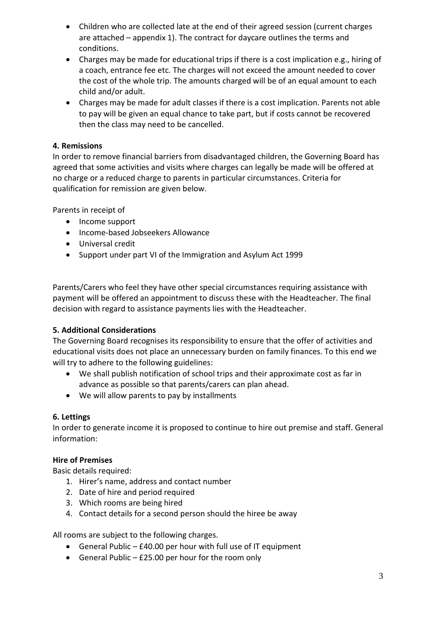- Children who are collected late at the end of their agreed session (current charges are attached – appendix 1). The contract for daycare outlines the terms and conditions.
- Charges may be made for educational trips if there is a cost implication e.g., hiring of a coach, entrance fee etc. The charges will not exceed the amount needed to cover the cost of the whole trip. The amounts charged will be of an equal amount to each child and/or adult.
- Charges may be made for adult classes if there is a cost implication. Parents not able to pay will be given an equal chance to take part, but if costs cannot be recovered then the class may need to be cancelled.

## **4. Remissions**

In order to remove financial barriers from disadvantaged children, the Governing Board has agreed that some activities and visits where charges can legally be made will be offered at no charge or a reduced charge to parents in particular circumstances. Criteria for qualification for remission are given below.

Parents in receipt of

- Income support
- Income-based Jobseekers Allowance
- Universal credit
- Support under part VI of the Immigration and Asylum Act 1999

Parents/Carers who feel they have other special circumstances requiring assistance with payment will be offered an appointment to discuss these with the Headteacher. The final decision with regard to assistance payments lies with the Headteacher.

## **5. Additional Considerations**

The Governing Board recognises its responsibility to ensure that the offer of activities and educational visits does not place an unnecessary burden on family finances. To this end we will try to adhere to the following guidelines:

- We shall publish notification of school trips and their approximate cost as far in advance as possible so that parents/carers can plan ahead.
- We will allow parents to pay by installments

## **6. Lettings**

In order to generate income it is proposed to continue to hire out premise and staff. General information:

### **Hire of Premises**

Basic details required:

- 1. Hirer's name, address and contact number
- 2. Date of hire and period required
- 3. Which rooms are being hired
- 4. Contact details for a second person should the hiree be away

All rooms are subject to the following charges.

- General Public £40.00 per hour with full use of IT equipment
- General Public £25.00 per hour for the room only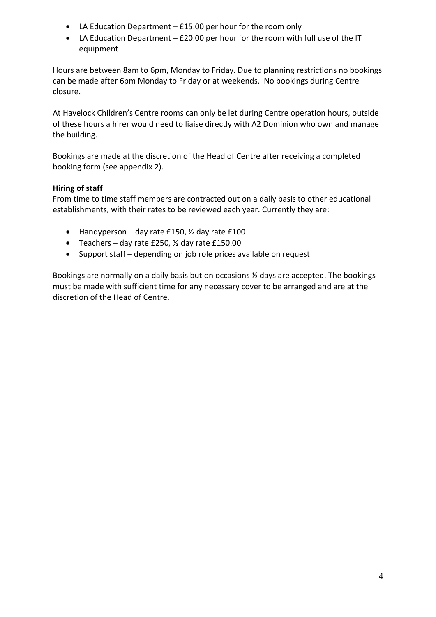- LA Education Department £15.00 per hour for the room only
- LA Education Department £20.00 per hour for the room with full use of the IT equipment

Hours are between 8am to 6pm, Monday to Friday. Due to planning restrictions no bookings can be made after 6pm Monday to Friday or at weekends. No bookings during Centre closure.

At Havelock Children's Centre rooms can only be let during Centre operation hours, outside of these hours a hirer would need to liaise directly with A2 Dominion who own and manage the building.

Bookings are made at the discretion of the Head of Centre after receiving a completed booking form (see appendix 2).

## **Hiring of staff**

From time to time staff members are contracted out on a daily basis to other educational establishments, with their rates to be reviewed each year. Currently they are:

- Handyperson day rate £150,  $\frac{1}{2}$  day rate £100
- Teachers day rate £250,  $\frac{1}{2}$  day rate £150.00
- Support staff depending on job role prices available on request

Bookings are normally on a daily basis but on occasions ½ days are accepted. The bookings must be made with sufficient time for any necessary cover to be arranged and are at the discretion of the Head of Centre.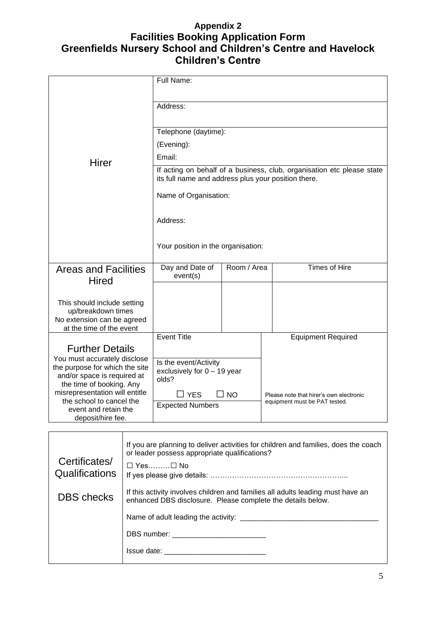## **Appendix 2 Facilities Booking Application Form Greenfields Nursery School and Children's Centre and Havelock Children's Centre**

| Address:<br>Telephone (daytime):<br>(Evening):<br>Email:<br>Hirer<br>If acting on behalf of a business, club, organisation etc please state<br>its full name and address plus your position there.<br>Name of Organisation:<br>Address:<br>Your position in the organisation:<br><b>Times of Hire</b><br>Day and Date of<br>Room / Area<br><b>Areas and Facilities</b><br>event(s)<br><b>Hired</b><br>This should include setting<br>up/breakdown times<br>No extension can be agreed<br>at the time of the event<br><b>Event Title</b><br><b>Equipment Required</b><br><b>Further Details</b><br>You must accurately disclose<br>Is the event/Activity<br>the purpose for which the site<br>exclusively for $0 - 19$ year<br>and/or space is required at<br>olds?<br>the time of booking. Any<br>misrepresentation will entitle<br>$\square$ NO<br>$\square$ YES<br>Please note that hirer's own electronic<br>the school to cancel the<br>equipment must be PAT tested.<br><b>Expected Numbers</b><br>event and retain the<br>deposit/hire fee. |  |            |  |  |  |  |
|---------------------------------------------------------------------------------------------------------------------------------------------------------------------------------------------------------------------------------------------------------------------------------------------------------------------------------------------------------------------------------------------------------------------------------------------------------------------------------------------------------------------------------------------------------------------------------------------------------------------------------------------------------------------------------------------------------------------------------------------------------------------------------------------------------------------------------------------------------------------------------------------------------------------------------------------------------------------------------------------------------------------------------------------------|--|------------|--|--|--|--|
|                                                                                                                                                                                                                                                                                                                                                                                                                                                                                                                                                                                                                                                                                                                                                                                                                                                                                                                                                                                                                                                   |  | Full Name: |  |  |  |  |
|                                                                                                                                                                                                                                                                                                                                                                                                                                                                                                                                                                                                                                                                                                                                                                                                                                                                                                                                                                                                                                                   |  |            |  |  |  |  |
|                                                                                                                                                                                                                                                                                                                                                                                                                                                                                                                                                                                                                                                                                                                                                                                                                                                                                                                                                                                                                                                   |  |            |  |  |  |  |
|                                                                                                                                                                                                                                                                                                                                                                                                                                                                                                                                                                                                                                                                                                                                                                                                                                                                                                                                                                                                                                                   |  |            |  |  |  |  |
|                                                                                                                                                                                                                                                                                                                                                                                                                                                                                                                                                                                                                                                                                                                                                                                                                                                                                                                                                                                                                                                   |  |            |  |  |  |  |
|                                                                                                                                                                                                                                                                                                                                                                                                                                                                                                                                                                                                                                                                                                                                                                                                                                                                                                                                                                                                                                                   |  |            |  |  |  |  |
|                                                                                                                                                                                                                                                                                                                                                                                                                                                                                                                                                                                                                                                                                                                                                                                                                                                                                                                                                                                                                                                   |  |            |  |  |  |  |
|                                                                                                                                                                                                                                                                                                                                                                                                                                                                                                                                                                                                                                                                                                                                                                                                                                                                                                                                                                                                                                                   |  |            |  |  |  |  |
|                                                                                                                                                                                                                                                                                                                                                                                                                                                                                                                                                                                                                                                                                                                                                                                                                                                                                                                                                                                                                                                   |  |            |  |  |  |  |
|                                                                                                                                                                                                                                                                                                                                                                                                                                                                                                                                                                                                                                                                                                                                                                                                                                                                                                                                                                                                                                                   |  |            |  |  |  |  |
|                                                                                                                                                                                                                                                                                                                                                                                                                                                                                                                                                                                                                                                                                                                                                                                                                                                                                                                                                                                                                                                   |  |            |  |  |  |  |
|                                                                                                                                                                                                                                                                                                                                                                                                                                                                                                                                                                                                                                                                                                                                                                                                                                                                                                                                                                                                                                                   |  |            |  |  |  |  |
|                                                                                                                                                                                                                                                                                                                                                                                                                                                                                                                                                                                                                                                                                                                                                                                                                                                                                                                                                                                                                                                   |  |            |  |  |  |  |
|                                                                                                                                                                                                                                                                                                                                                                                                                                                                                                                                                                                                                                                                                                                                                                                                                                                                                                                                                                                                                                                   |  |            |  |  |  |  |
|                                                                                                                                                                                                                                                                                                                                                                                                                                                                                                                                                                                                                                                                                                                                                                                                                                                                                                                                                                                                                                                   |  |            |  |  |  |  |
|                                                                                                                                                                                                                                                                                                                                                                                                                                                                                                                                                                                                                                                                                                                                                                                                                                                                                                                                                                                                                                                   |  |            |  |  |  |  |
|                                                                                                                                                                                                                                                                                                                                                                                                                                                                                                                                                                                                                                                                                                                                                                                                                                                                                                                                                                                                                                                   |  |            |  |  |  |  |
|                                                                                                                                                                                                                                                                                                                                                                                                                                                                                                                                                                                                                                                                                                                                                                                                                                                                                                                                                                                                                                                   |  |            |  |  |  |  |
|                                                                                                                                                                                                                                                                                                                                                                                                                                                                                                                                                                                                                                                                                                                                                                                                                                                                                                                                                                                                                                                   |  |            |  |  |  |  |
|                                                                                                                                                                                                                                                                                                                                                                                                                                                                                                                                                                                                                                                                                                                                                                                                                                                                                                                                                                                                                                                   |  |            |  |  |  |  |
|                                                                                                                                                                                                                                                                                                                                                                                                                                                                                                                                                                                                                                                                                                                                                                                                                                                                                                                                                                                                                                                   |  |            |  |  |  |  |
|                                                                                                                                                                                                                                                                                                                                                                                                                                                                                                                                                                                                                                                                                                                                                                                                                                                                                                                                                                                                                                                   |  |            |  |  |  |  |

| Certificates/<br>Qualifications | If you are planning to deliver activities for children and families, does the coach<br>or leader possess appropriate qualifications?           |  |
|---------------------------------|------------------------------------------------------------------------------------------------------------------------------------------------|--|
|                                 | $\Box$ Yes $\Box$ No                                                                                                                           |  |
| <b>DBS</b> checks               | If this activity involves children and families all adults leading must have an<br>enhanced DBS disclosure. Please complete the details below. |  |
|                                 | Name of adult leading the activity:                                                                                                            |  |
|                                 |                                                                                                                                                |  |
|                                 | Issue date: and the state of the state of the state of the state of the state of the state of the state of the                                 |  |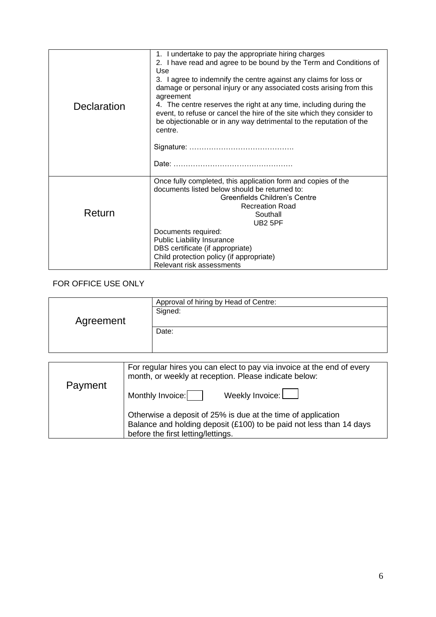| Declaration | 1. I undertake to pay the appropriate hiring charges<br>2. I have read and agree to be bound by the Term and Conditions of<br>Use<br>3. I agree to indemnify the centre against any claims for loss or<br>damage or personal injury or any associated costs arising from this<br>agreement<br>4. The centre reserves the right at any time, including during the<br>event, to refuse or cancel the hire of the site which they consider to<br>be objectionable or in any way detrimental to the reputation of the<br>centre. |  |
|-------------|------------------------------------------------------------------------------------------------------------------------------------------------------------------------------------------------------------------------------------------------------------------------------------------------------------------------------------------------------------------------------------------------------------------------------------------------------------------------------------------------------------------------------|--|
| Return      | Once fully completed, this application form and copies of the<br>documents listed below should be returned to:<br>Greenfields Children's Centre<br><b>Recreation Road</b><br>Southall<br><b>UB2 5PF</b><br>Documents required:<br><b>Public Liability Insurance</b><br>DBS certificate (if appropriate)<br>Child protection policy (if appropriate)<br>Relevant risk assessments                                                                                                                                             |  |

## FOR OFFICE USE ONLY

|           | Approval of hiring by Head of Centre: |  |  |
|-----------|---------------------------------------|--|--|
|           | Signed:                               |  |  |
| Agreement |                                       |  |  |
|           | Date:                                 |  |  |
|           |                                       |  |  |
|           |                                       |  |  |

| Payment | For regular hires you can elect to pay via invoice at the end of every<br>month, or weekly at reception. Please indicate below:                                           |
|---------|---------------------------------------------------------------------------------------------------------------------------------------------------------------------------|
|         | Weekly Invoice: $\boxed{\phantom{a}}$<br>Monthly Invoice:                                                                                                                 |
|         | Otherwise a deposit of 25% is due at the time of application<br>Balance and holding deposit (£100) to be paid not less than 14 days<br>before the first letting/lettings. |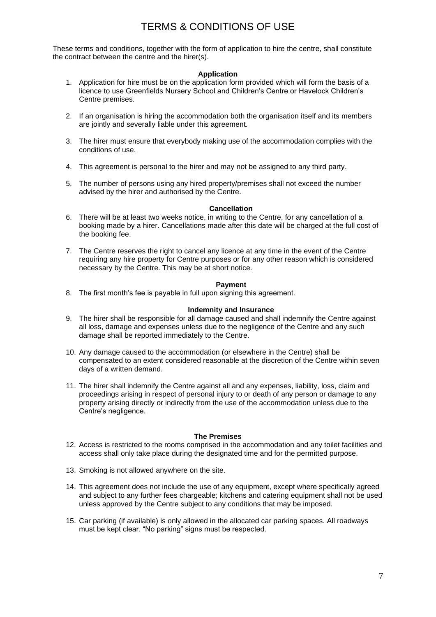## TERMS & CONDITIONS OF USE

These terms and conditions, together with the form of application to hire the centre, shall constitute the contract between the centre and the hirer(s).

#### **Application**

- 1. Application for hire must be on the application form provided which will form the basis of a licence to use Greenfields Nursery School and Children's Centre or Havelock Children's Centre premises.
- 2. If an organisation is hiring the accommodation both the organisation itself and its members are jointly and severally liable under this agreement.
- 3. The hirer must ensure that everybody making use of the accommodation complies with the conditions of use.
- 4. This agreement is personal to the hirer and may not be assigned to any third party.
- 5. The number of persons using any hired property/premises shall not exceed the number advised by the hirer and authorised by the Centre.

#### **Cancellation**

- 6. There will be at least two weeks notice, in writing to the Centre, for any cancellation of a booking made by a hirer. Cancellations made after this date will be charged at the full cost of the booking fee.
- 7. The Centre reserves the right to cancel any licence at any time in the event of the Centre requiring any hire property for Centre purposes or for any other reason which is considered necessary by the Centre. This may be at short notice.

#### **Payment**

8. The first month's fee is payable in full upon signing this agreement.

#### **Indemnity and Insurance**

- 9. The hirer shall be responsible for all damage caused and shall indemnify the Centre against all loss, damage and expenses unless due to the negligence of the Centre and any such damage shall be reported immediately to the Centre.
- 10. Any damage caused to the accommodation (or elsewhere in the Centre) shall be compensated to an extent considered reasonable at the discretion of the Centre within seven days of a written demand.
- 11. The hirer shall indemnify the Centre against all and any expenses, liability, loss, claim and proceedings arising in respect of personal injury to or death of any person or damage to any property arising directly or indirectly from the use of the accommodation unless due to the Centre's negligence.

#### **The Premises**

- 12. Access is restricted to the rooms comprised in the accommodation and any toilet facilities and access shall only take place during the designated time and for the permitted purpose.
- 13. Smoking is not allowed anywhere on the site.
- 14. This agreement does not include the use of any equipment, except where specifically agreed and subject to any further fees chargeable; kitchens and catering equipment shall not be used unless approved by the Centre subject to any conditions that may be imposed.
- 15. Car parking (if available) is only allowed in the allocated car parking spaces. All roadways must be kept clear. "No parking" signs must be respected.